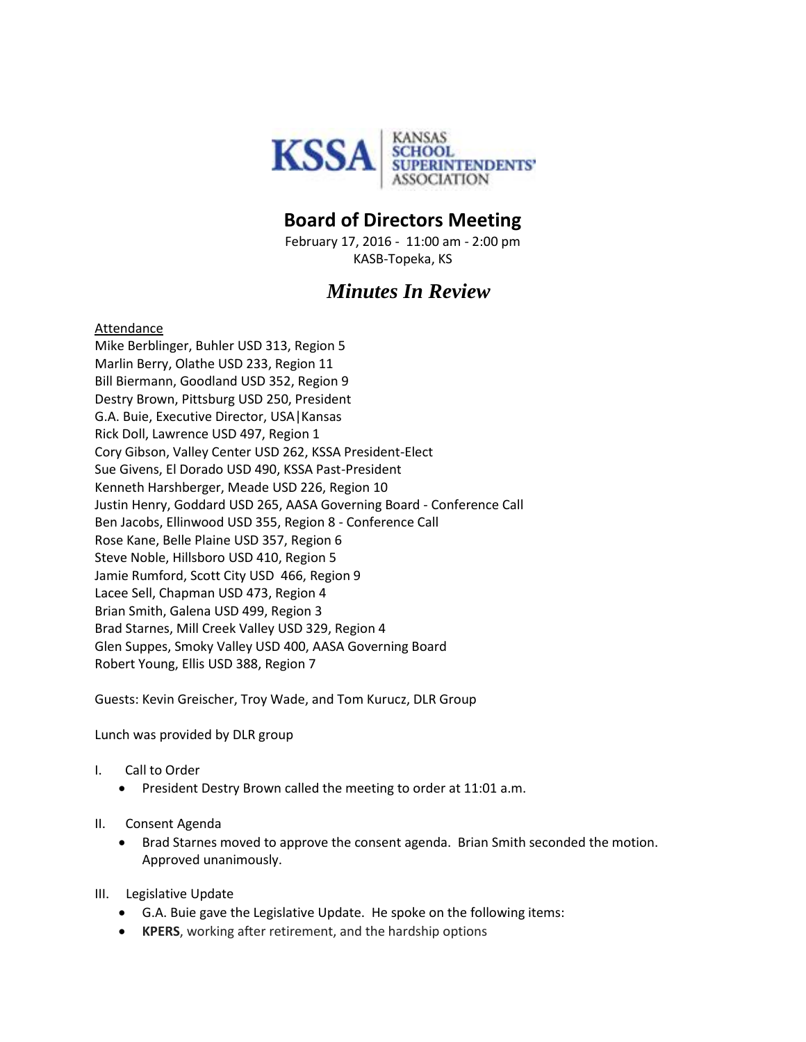

# **Board of Directors Meeting**

February 17, 2016 - 11:00 am - 2:00 pm KASB-Topeka, KS

# *Minutes In Review*

#### Attendance

Mike Berblinger, Buhler USD 313, Region 5 Marlin Berry, Olathe USD 233, Region 11 Bill Biermann, Goodland USD 352, Region 9 Destry Brown, Pittsburg USD 250, President G.A. Buie, Executive Director, USA|Kansas Rick Doll, Lawrence USD 497, Region 1 Cory Gibson, Valley Center USD 262, KSSA President-Elect Sue Givens, El Dorado USD 490, KSSA Past-President Kenneth Harshberger, Meade USD 226, Region 10 Justin Henry, Goddard USD 265, AASA Governing Board - Conference Call Ben Jacobs, Ellinwood USD 355, Region 8 - Conference Call Rose Kane, Belle Plaine USD 357, Region 6 Steve Noble, Hillsboro USD 410, Region 5 Jamie Rumford, Scott City USD 466, Region 9 Lacee Sell, Chapman USD 473, Region 4 Brian Smith, Galena USD 499, Region 3 Brad Starnes, Mill Creek Valley USD 329, Region 4 Glen Suppes, Smoky Valley USD 400, AASA Governing Board Robert Young, Ellis USD 388, Region 7

Guests: Kevin Greischer, Troy Wade, and Tom Kurucz, DLR Group

Lunch was provided by DLR group

- I. Call to Order
	- **•** President Destry Brown called the meeting to order at 11:01 a.m.
- II. Consent Agenda
	- Brad Starnes moved to approve the consent agenda. Brian Smith seconded the motion. Approved unanimously.
- III. Legislative Update
	- G.A. Buie gave the Legislative Update. He spoke on the following items:
	- **KPERS**, working after retirement, and the hardship options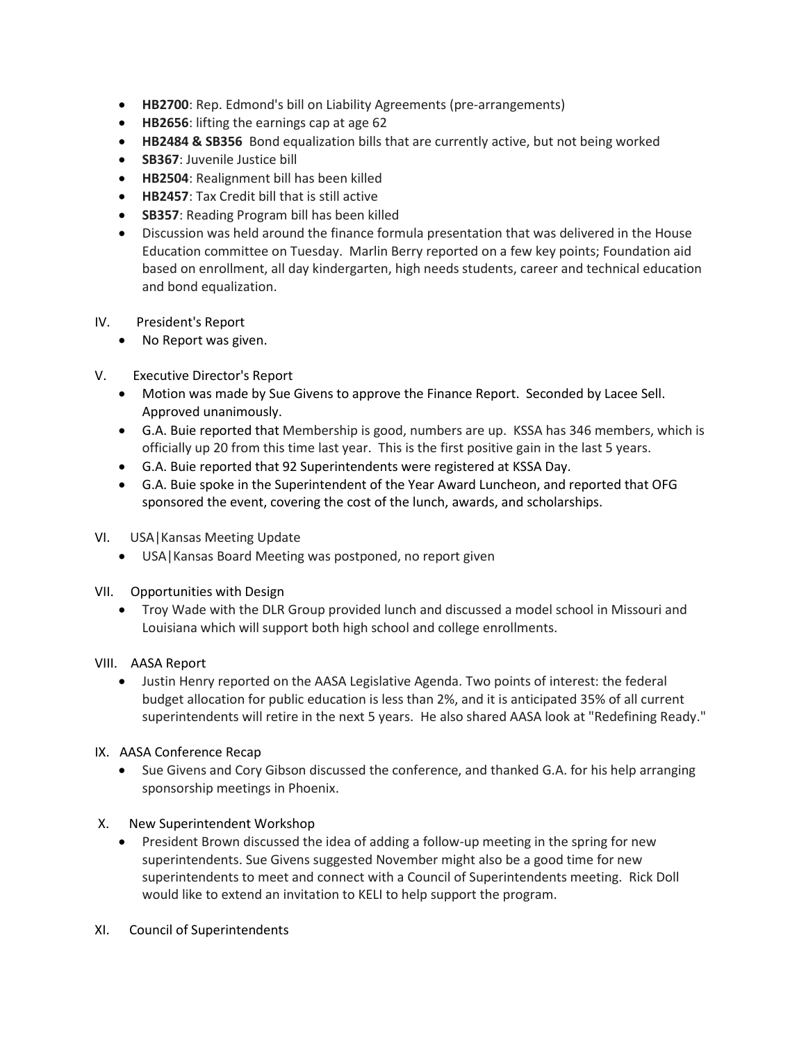- **HB2700**: Rep. Edmond's bill on Liability Agreements (pre-arrangements)
- **HB2656**: lifting the earnings cap at age 62
- **HB2484 & SB356** Bond equalization bills that are currently active, but not being worked
- **SB367**: Juvenile Justice bill
- **HB2504**: Realignment bill has been killed
- **HB2457**: Tax Credit bill that is still active
- **SB357**: Reading Program bill has been killed
- Discussion was held around the finance formula presentation that was delivered in the House Education committee on Tuesday. Marlin Berry reported on a few key points; Foundation aid based on enrollment, all day kindergarten, high needs students, career and technical education and bond equalization.
- IV. President's Report
	- No Report was given.
- V. Executive Director's Report
	- Motion was made by Sue Givens to approve the Finance Report. Seconded by Lacee Sell. Approved unanimously.
	- G.A. Buie reported that Membership is good, numbers are up. KSSA has 346 members, which is officially up 20 from this time last year. This is the first positive gain in the last 5 years.
	- G.A. Buie reported that 92 Superintendents were registered at KSSA Day.
	- G.A. Buie spoke in the Superintendent of the Year Award Luncheon, and reported that OFG sponsored the event, covering the cost of the lunch, awards, and scholarships.
- VI. USA|Kansas Meeting Update
	- USA|Kansas Board Meeting was postponed, no report given
- VII. Opportunities with Design
	- Troy Wade with the DLR Group provided lunch and discussed a model school in Missouri and Louisiana which will support both high school and college enrollments.
- VIII. AASA Report
	- Justin Henry reported on the AASA Legislative Agenda. Two points of interest: the federal budget allocation for public education is less than 2%, and it is anticipated 35% of all current superintendents will retire in the next 5 years. He also shared AASA look at "Redefining Ready."
- IX. AASA Conference Recap
	- Sue Givens and Cory Gibson discussed the conference, and thanked G.A. for his help arranging sponsorship meetings in Phoenix.
- X. New Superintendent Workshop
	- President Brown discussed the idea of adding a follow-up meeting in the spring for new superintendents. Sue Givens suggested November might also be a good time for new superintendents to meet and connect with a Council of Superintendents meeting. Rick Doll would like to extend an invitation to KELI to help support the program.
- XI. Council of Superintendents